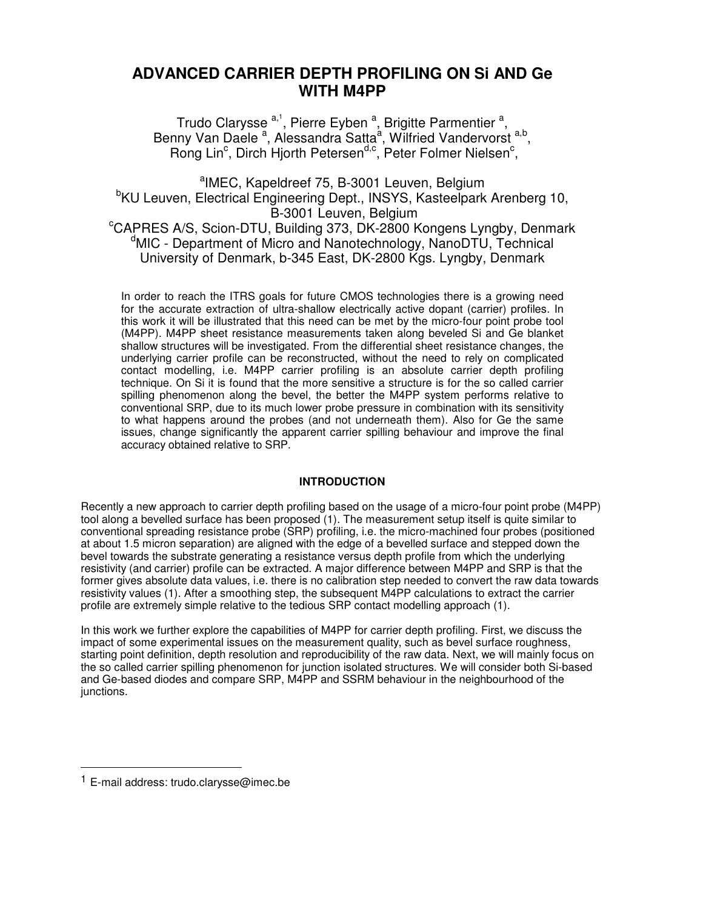# **ADVANCED CARRIER DEPTH PROFILING ON Si AND Ge WITH M4PP**

Trudo Clarysse <sup>a,1</sup>, Pierre Eyben <sup>a</sup>, Brigitte Parmentier <sup>a</sup>, Benny Van Daele<sup>a</sup>, Alessandra Satta<sup>a</sup>, Wilfried Vandervorst<sup>a,b</sup>, Rong Lin<sup>c</sup>, Dirch Hjorth Petersen<sup>d,c</sup>, Peter Folmer Nielsen<sup>c</sup>,

<sup>a</sup>IMEC, Kapeldreef 75, B-3001 Leuven, Belgium <sup>b</sup>KU Leuven, Electrical Engineering Dept., INSYS, Kasteelpark Arenberg 10, B-3001 Leuven, Belgium <sup>c</sup>CAPRES A/S, Scion-DTU, Building 373, DK-2800 Kongens Lyngby, Denmark <sup>d</sup>MIC - Department of Micro and Nanotechnology, NanoDTU, Technical University of Denmark, b-345 East, DK-2800 Kgs. Lyngby, Denmark

In order to reach the ITRS goals for future CMOS technologies there is a growing need for the accurate extraction of ultra-shallow electrically active dopant (carrier) profiles. In this work it will be illustrated that this need can be met by the micro-four point probe tool (M4PP). M4PP sheet resistance measurements taken along beveled Si and Ge blanket shallow structures will be investigated. From the differential sheet resistance changes, the underlying carrier profile can be reconstructed, without the need to rely on complicated contact modelling, i.e. M4PP carrier profiling is an absolute carrier depth profiling technique. On Si it is found that the more sensitive a structure is for the so called carrier spilling phenomenon along the bevel, the better the M4PP system performs relative to conventional SRP, due to its much lower probe pressure in combination with its sensitivity to what happens around the probes (and not underneath them). Also for Ge the same issues, change significantly the apparent carrier spilling behaviour and improve the final accuracy obtained relative to SRP.

## **INTRODUCTION**

Recently a new approach to carrier depth profiling based on the usage of a micro-four point probe (M4PP) tool along a bevelled surface has been proposed (1). The measurement setup itself is quite similar to conventional spreading resistance probe (SRP) profiling, i.e. the micro-machined four probes (positioned at about 1.5 micron separation) are aligned with the edge of a bevelled surface and stepped down the bevel towards the substrate generating a resistance versus depth profile from which the underlying resistivity (and carrier) profile can be extracted. A major difference between M4PP and SRP is that the former gives absolute data values, i.e. there is no calibration step needed to convert the raw data towards resistivity values (1). After a smoothing step, the subsequent M4PP calculations to extract the carrier profile are extremely simple relative to the tedious SRP contact modelling approach (1).

In this work we further explore the capabilities of M4PP for carrier depth profiling. First, we discuss the impact of some experimental issues on the measurement quality, such as bevel surface roughness, starting point definition, depth resolution and reproducibility of the raw data. Next, we will mainly focus on the so called carrier spilling phenomenon for junction isolated structures. We will consider both Si-based and Ge-based diodes and compare SRP, M4PP and SSRM behaviour in the neighbourhood of the junctions.

-

<sup>1</sup> E-mail address: trudo.clarysse@imec.be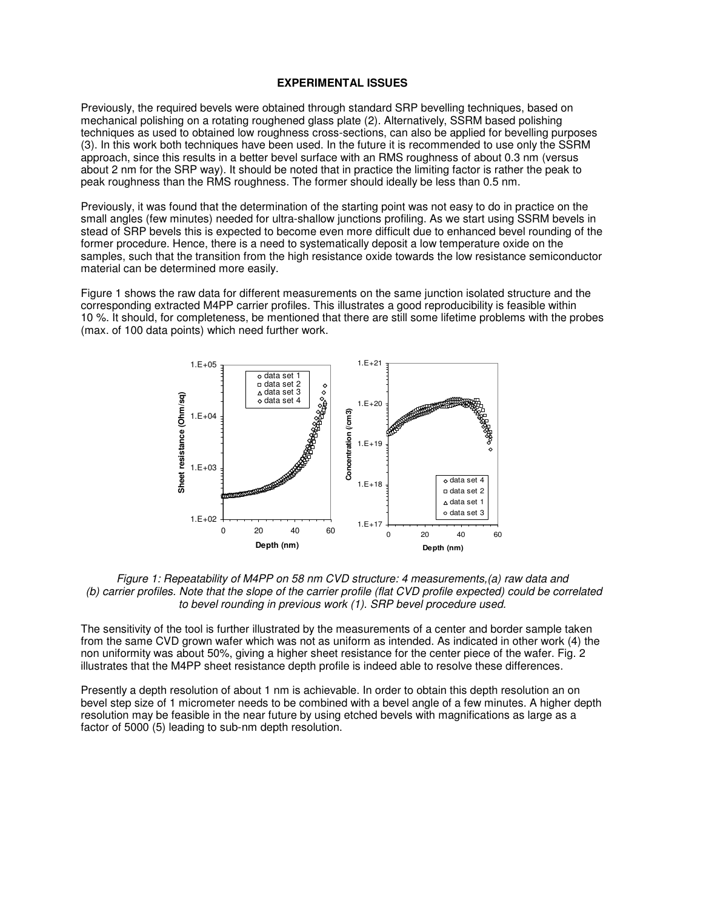## **EXPERIMENTAL ISSUES**

Previously, the required bevels were obtained through standard SRP bevelling techniques, based on mechanical polishing on a rotating roughened glass plate (2). Alternatively, SSRM based polishing techniques as used to obtained low roughness cross-sections, can also be applied for bevelling purposes (3). In this work both techniques have been used. In the future it is recommended to use only the SSRM approach, since this results in a better bevel surface with an RMS roughness of about 0.3 nm (versus about 2 nm for the SRP way). It should be noted that in practice the limiting factor is rather the peak to peak roughness than the RMS roughness. The former should ideally be less than 0.5 nm.

Previously, it was found that the determination of the starting point was not easy to do in practice on the small angles (few minutes) needed for ultra-shallow junctions profiling. As we start using SSRM bevels in stead of SRP bevels this is expected to become even more difficult due to enhanced bevel rounding of the former procedure. Hence, there is a need to systematically deposit a low temperature oxide on the samples, such that the transition from the high resistance oxide towards the low resistance semiconductor material can be determined more easily.

Figure 1 shows the raw data for different measurements on the same junction isolated structure and the corresponding extracted M4PP carrier profiles. This illustrates a good reproducibility is feasible within 10 %. It should, for completeness, be mentioned that there are still some lifetime problems with the probes (max. of 100 data points) which need further work.



*Figure 1: Repeatability of M4PP on 58 nm CVD structure: 4 measurements,(a) raw data and (b) carrier profiles. Note that the slope of the carrier profile (flat CVD profile expected) could be correlated to bevel rounding in previous work (1). SRP bevel procedure used.* 

The sensitivity of the tool is further illustrated by the measurements of a center and border sample taken from the same CVD grown wafer which was not as uniform as intended. As indicated in other work (4) the non uniformity was about 50%, giving a higher sheet resistance for the center piece of the wafer. Fig. 2 illustrates that the M4PP sheet resistance depth profile is indeed able to resolve these differences.

Presently a depth resolution of about 1 nm is achievable. In order to obtain this depth resolution an on bevel step size of 1 micrometer needs to be combined with a bevel angle of a few minutes. A higher depth resolution may be feasible in the near future by using etched bevels with magnifications as large as a factor of 5000 (5) leading to sub-nm depth resolution.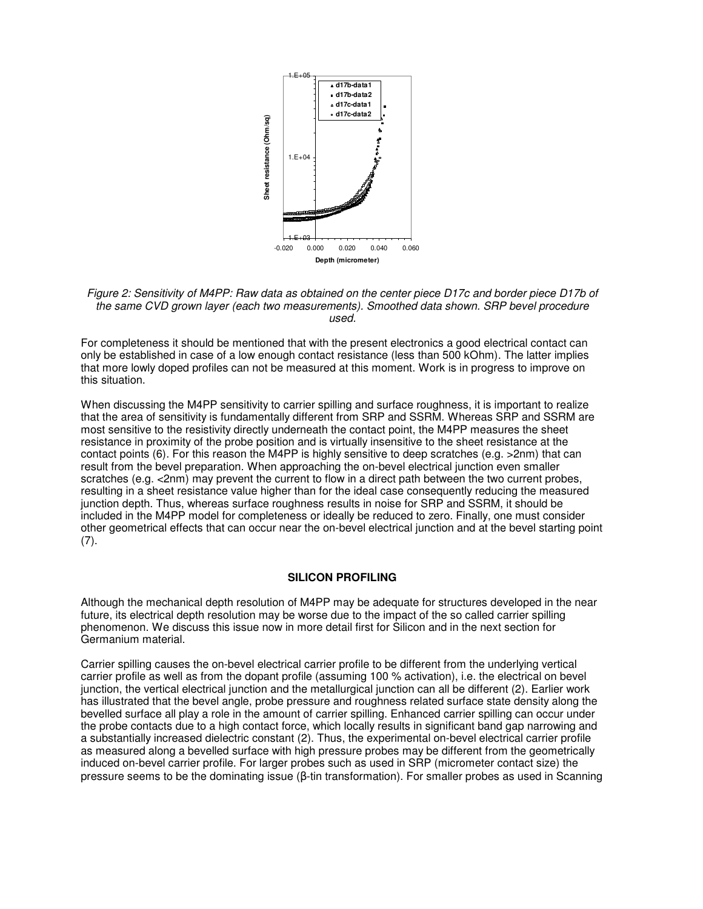

*Figure 2: Sensitivity of M4PP: Raw data as obtained on the center piece D17c and border piece D17b of the same CVD grown layer (each two measurements). Smoothed data shown. SRP bevel procedure used.* 

For completeness it should be mentioned that with the present electronics a good electrical contact can only be established in case of a low enough contact resistance (less than 500 kOhm). The latter implies that more lowly doped profiles can not be measured at this moment. Work is in progress to improve on this situation.

When discussing the M4PP sensitivity to carrier spilling and surface roughness, it is important to realize that the area of sensitivity is fundamentally different from SRP and SSRM. Whereas SRP and SSRM are most sensitive to the resistivity directly underneath the contact point, the M4PP measures the sheet resistance in proximity of the probe position and is virtually insensitive to the sheet resistance at the contact points (6). For this reason the M4PP is highly sensitive to deep scratches (e.g. >2nm) that can result from the bevel preparation. When approaching the on-bevel electrical junction even smaller scratches (e.g. <2nm) may prevent the current to flow in a direct path between the two current probes, resulting in a sheet resistance value higher than for the ideal case consequently reducing the measured junction depth. Thus, whereas surface roughness results in noise for SRP and SSRM, it should be included in the M4PP model for completeness or ideally be reduced to zero. Finally, one must consider other geometrical effects that can occur near the on-bevel electrical junction and at the bevel starting point  $(7).$ 

## **SILICON PROFILING**

Although the mechanical depth resolution of M4PP may be adequate for structures developed in the near future, its electrical depth resolution may be worse due to the impact of the so called carrier spilling phenomenon. We discuss this issue now in more detail first for Silicon and in the next section for Germanium material.

Carrier spilling causes the on-bevel electrical carrier profile to be different from the underlying vertical carrier profile as well as from the dopant profile (assuming 100 % activation), i.e. the electrical on bevel junction, the vertical electrical junction and the metallurgical junction can all be different (2). Earlier work has illustrated that the bevel angle, probe pressure and roughness related surface state density along the bevelled surface all play a role in the amount of carrier spilling. Enhanced carrier spilling can occur under the probe contacts due to a high contact force, which locally results in significant band gap narrowing and a substantially increased dielectric constant (2). Thus, the experimental on-bevel electrical carrier profile as measured along a bevelled surface with high pressure probes may be different from the geometrically induced on-bevel carrier profile. For larger probes such as used in SRP (micrometer contact size) the pressure seems to be the dominating issue (β-tin transformation). For smaller probes as used in Scanning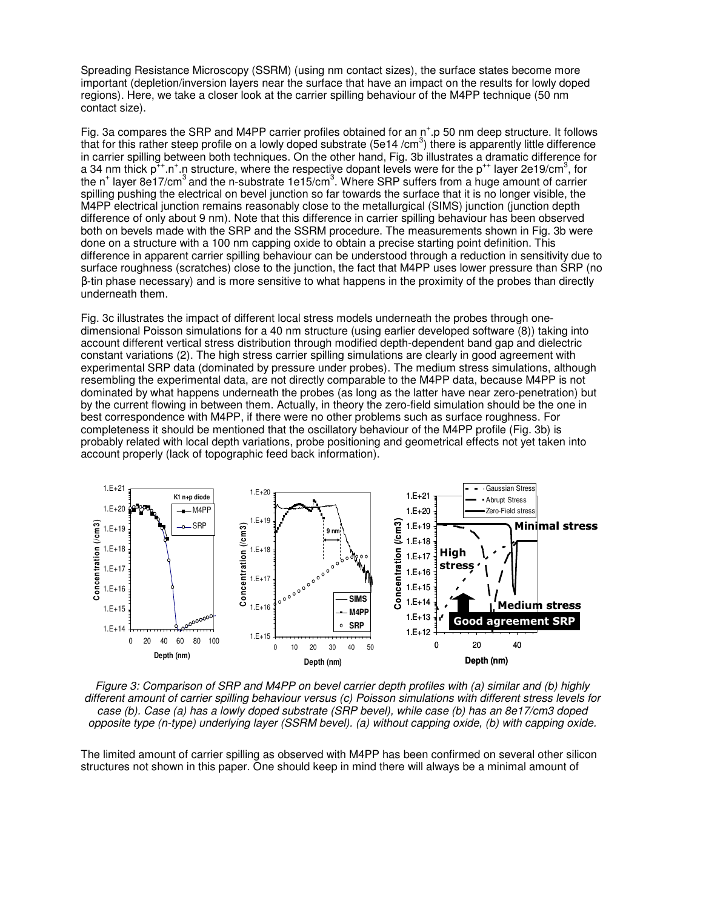Spreading Resistance Microscopy (SSRM) (using nm contact sizes), the surface states become more important (depletion/inversion layers near the surface that have an impact on the results for lowly doped regions). Here, we take a closer look at the carrier spilling behaviour of the M4PP technique (50 nm contact size).

Fig. 3a compares the SRP and M4PP carrier profiles obtained for an  $n^+$  p 50 nm deep structure. It follows that for this rather steep profile on a lowly doped substrate (5e14 /cm<sup>3</sup>) there is apparently little difference in carrier spilling between both techniques. On the other hand, Fig. 3b illustrates a dramatic difference for a 34 nm thick p<sup>++</sup>.n<sup>+</sup>.n structure, where the respective dopant levels were for the p<sup>++</sup> layer 2e19/cm<sup>3</sup>, for the n<sup>+</sup> layer 8e17/cm<sup>3</sup> and the n-substrate 1e15/cm<sup>3</sup>. Where SRP suffers from a huge amount of carrier spilling pushing the electrical on bevel junction so far towards the surface that it is no longer visible, the M4PP electrical junction remains reasonably close to the metallurgical (SIMS) junction (junction depth difference of only about 9 nm). Note that this difference in carrier spilling behaviour has been observed both on bevels made with the SRP and the SSRM procedure. The measurements shown in Fig. 3b were done on a structure with a 100 nm capping oxide to obtain a precise starting point definition. This difference in apparent carrier spilling behaviour can be understood through a reduction in sensitivity due to surface roughness (scratches) close to the junction, the fact that M4PP uses lower pressure than SRP (no β-tin phase necessary) and is more sensitive to what happens in the proximity of the probes than directly underneath them.

Fig. 3c illustrates the impact of different local stress models underneath the probes through onedimensional Poisson simulations for a 40 nm structure (using earlier developed software (8)) taking into account different vertical stress distribution through modified depth-dependent band gap and dielectric constant variations (2). The high stress carrier spilling simulations are clearly in good agreement with experimental SRP data (dominated by pressure under probes). The medium stress simulations, although resembling the experimental data, are not directly comparable to the M4PP data, because M4PP is not dominated by what happens underneath the probes (as long as the latter have near zero-penetration) but by the current flowing in between them. Actually, in theory the zero-field simulation should be the one in best correspondence with M4PP, if there were no other problems such as surface roughness. For completeness it should be mentioned that the oscillatory behaviour of the M4PP profile (Fig. 3b) is probably related with local depth variations, probe positioning and geometrical effects not yet taken into account properly (lack of topographic feed back information).



*Figure 3: Comparison of SRP and M4PP on bevel carrier depth profiles with (a) similar and (b) highly different amount of carrier spilling behaviour versus (c) Poisson simulations with different stress levels for case (b). Case (a) has a lowly doped substrate (SRP bevel), while case (b) has an 8e17/cm3 doped opposite type (n-type) underlying layer (SSRM bevel). (a) without capping oxide, (b) with capping oxide.* 

The limited amount of carrier spilling as observed with M4PP has been confirmed on several other silicon structures not shown in this paper. One should keep in mind there will always be a minimal amount of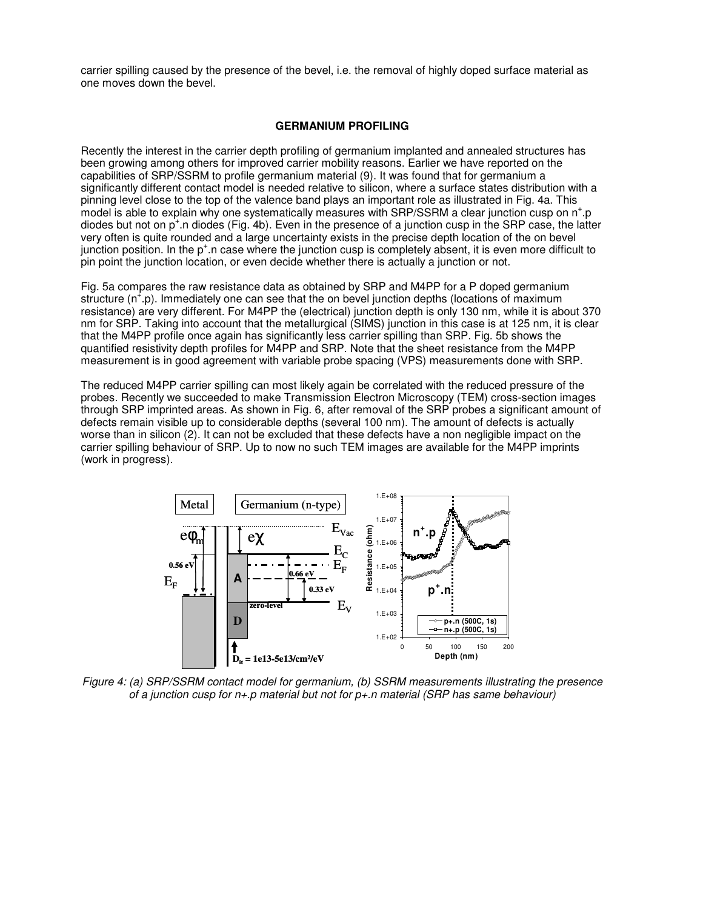carrier spilling caused by the presence of the bevel, i.e. the removal of highly doped surface material as one moves down the bevel.

## **GERMANIUM PROFILING**

Recently the interest in the carrier depth profiling of germanium implanted and annealed structures has been growing among others for improved carrier mobility reasons. Earlier we have reported on the capabilities of SRP/SSRM to profile germanium material (9). It was found that for germanium a significantly different contact model is needed relative to silicon, where a surface states distribution with a pinning level close to the top of the valence band plays an important role as illustrated in Fig. 4a. This model is able to explain why one systematically measures with SRP/SSRM a clear junction cusp on n<sup>+</sup>.p diodes but not on p<sup>+</sup>.n diodes (Fig. 4b). Even in the presence of a junction cusp in the SRP case, the latter very often is quite rounded and a large uncertainty exists in the precise depth location of the on bevel junction position. In the p<sup>+</sup> n case where the junction cusp is completely absent, it is even more difficult to pin point the junction location, or even decide whether there is actually a junction or not.

Fig. 5a compares the raw resistance data as obtained by SRP and M4PP for a P doped germanium structure (n<sup>+</sup>.p). Immediately one can see that the on bevel junction depths (locations of maximum resistance) are very different. For M4PP the (electrical) junction depth is only 130 nm, while it is about 370 nm for SRP. Taking into account that the metallurgical (SIMS) junction in this case is at 125 nm, it is clear that the M4PP profile once again has significantly less carrier spilling than SRP. Fig. 5b shows the quantified resistivity depth profiles for M4PP and SRP. Note that the sheet resistance from the M4PP measurement is in good agreement with variable probe spacing (VPS) measurements done with SRP.

The reduced M4PP carrier spilling can most likely again be correlated with the reduced pressure of the probes. Recently we succeeded to make Transmission Electron Microscopy (TEM) cross-section images through SRP imprinted areas. As shown in Fig. 6, after removal of the SRP probes a significant amount of defects remain visible up to considerable depths (several 100 nm). The amount of defects is actually worse than in silicon (2). It can not be excluded that these defects have a non negligible impact on the carrier spilling behaviour of SRP. Up to now no such TEM images are available for the M4PP imprints (work in progress).



*Figure 4: (a) SRP/SSRM contact model for germanium, (b) SSRM measurements illustrating the presence of a junction cusp for n+.p material but not for p+.n material (SRP has same behaviour)*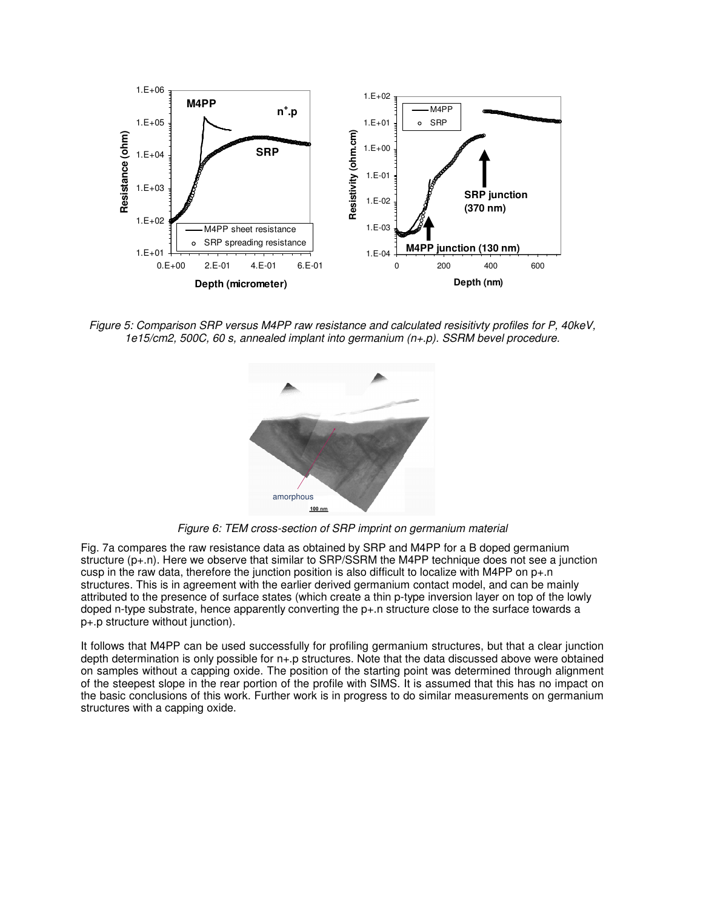

*Figure 5: Comparison SRP versus M4PP raw resistance and calculated resisitivty profiles for P, 40keV, 1e15/cm2, 500C, 60 s, annealed implant into germanium (n+.p). SSRM bevel procedure.* 



*Figure 6: TEM cross-section of SRP imprint on germanium material* 

Fig. 7a compares the raw resistance data as obtained by SRP and M4PP for a B doped germanium structure (p+.n). Here we observe that similar to SRP/SSRM the M4PP technique does not see a junction cusp in the raw data, therefore the junction position is also difficult to localize with M4PP on  $p+n$ structures. This is in agreement with the earlier derived germanium contact model, and can be mainly attributed to the presence of surface states (which create a thin p-type inversion layer on top of the lowly doped n-type substrate, hence apparently converting the p+.n structure close to the surface towards a p+.p structure without junction).

It follows that M4PP can be used successfully for profiling germanium structures, but that a clear junction depth determination is only possible for n+.p structures. Note that the data discussed above were obtained on samples without a capping oxide. The position of the starting point was determined through alignment of the steepest slope in the rear portion of the profile with SIMS. It is assumed that this has no impact on the basic conclusions of this work. Further work is in progress to do similar measurements on germanium structures with a capping oxide.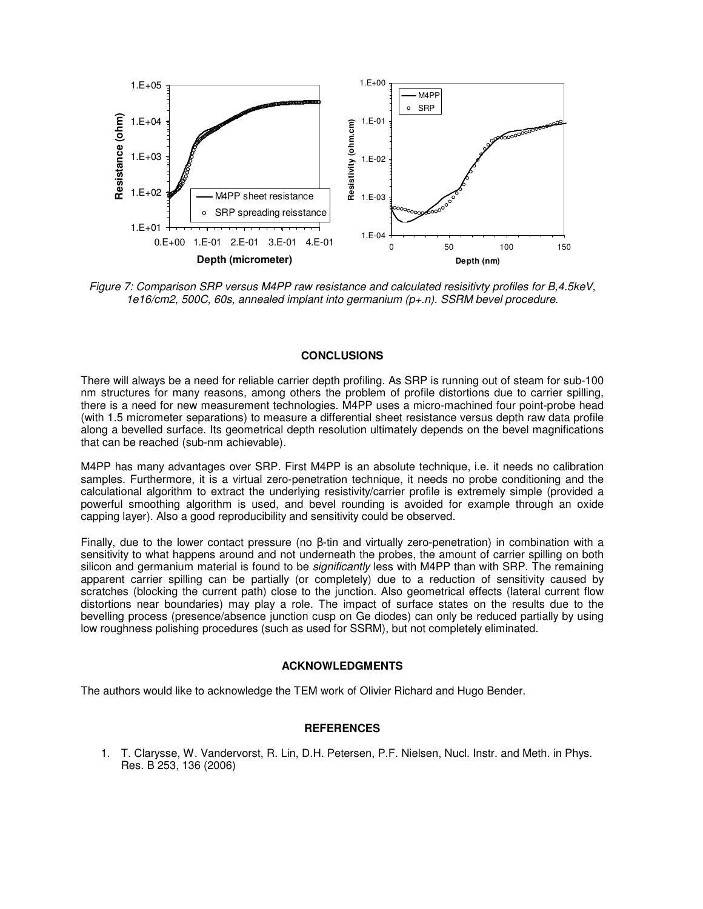

*Figure 7: Comparison SRP versus M4PP raw resistance and calculated resisitivty profiles for B,4.5keV, 1e16/cm2, 500C, 60s, annealed implant into germanium (p+.n). SSRM bevel procedure.* 

## **CONCLUSIONS**

There will always be a need for reliable carrier depth profiling. As SRP is running out of steam for sub-100 nm structures for many reasons, among others the problem of profile distortions due to carrier spilling, there is a need for new measurement technologies. M4PP uses a micro-machined four point-probe head (with 1.5 micrometer separations) to measure a differential sheet resistance versus depth raw data profile along a bevelled surface. Its geometrical depth resolution ultimately depends on the bevel magnifications that can be reached (sub-nm achievable).

M4PP has many advantages over SRP. First M4PP is an absolute technique, i.e. it needs no calibration samples. Furthermore, it is a virtual zero-penetration technique, it needs no probe conditioning and the calculational algorithm to extract the underlying resistivity/carrier profile is extremely simple (provided a powerful smoothing algorithm is used, and bevel rounding is avoided for example through an oxide capping layer). Also a good reproducibility and sensitivity could be observed.

Finally, due to the lower contact pressure (no β-tin and virtually zero-penetration) in combination with a sensitivity to what happens around and not underneath the probes, the amount of carrier spilling on both silicon and germanium material is found to be *significantly* less with M4PP than with SRP. The remaining apparent carrier spilling can be partially (or completely) due to a reduction of sensitivity caused by scratches (blocking the current path) close to the junction. Also geometrical effects (lateral current flow distortions near boundaries) may play a role. The impact of surface states on the results due to the bevelling process (presence/absence junction cusp on Ge diodes) can only be reduced partially by using low roughness polishing procedures (such as used for SSRM), but not completely eliminated.

#### **ACKNOWLEDGMENTS**

The authors would like to acknowledge the TEM work of Olivier Richard and Hugo Bender.

## **REFERENCES**

1. T. Clarysse, W. Vandervorst, R. Lin, D.H. Petersen, P.F. Nielsen, Nucl. Instr. and Meth. in Phys. Res. B 253, 136 (2006)